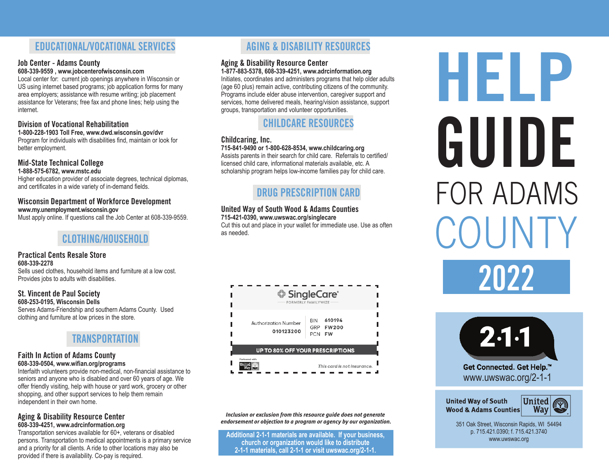# **EDUCATIONAL/VOCATIONAL SERVICES**

## **Job Center - Adams County**

**608-339-9559 , www.jobcenterofwisconsin.com**

Local center for: current job openings anywhere in Wisconsin or US using internet based programs; job application forms for many area employers; assistance with resume writing; job placement assistance for Veterans; free fax and phone lines; help using the internet.

## **Division of Vocational Rehabilitation**

#### **1-800-228-1903 Toll Free, www.dwd.wisconsin.gov/dvr**

Program for individuals with disabilities find, maintain or look for better employment.

# **Mid-State Technical College**

**1-888-575-6782, www.mstc.edu**

Higher education provider of associate degrees, technical diplomas, and certificates in a wide variety of in-demand fields.

#### **Wisconsin Department of Workforce Development www.my.unemployment.wisconsin.gov**

Must apply online. If questions call the Job Center at 608-339-9559.

# **CLOTHING/HOUSEHOLD**

#### **Practical Cents Resale Store 608-339-2278**

Sells used clothes, household items and furniture at a low cost. Provides jobs to adults with disabilities.

## **St. Vincent de Paul Society**

**608-253-0195, Wisconsin Dells** Serves Adams-Friendship and southern Adams County. Used clothing and furniture at low prices in the store.

# **TRANSPORTATION**

#### **Faith In Action of Adams County 608-339-0504, www.wifian.org/programs**

Interfaith volunteers provide non-medical, non-financial assistance to seniors and anyone who is disabled and over 60 years of age. We offer friendly visiting, help with house or yard work, grocery or other shopping, and other support services to help them remain independent in their own home.

#### **Aging & Disability Resource Center 608-339-4251, www.adrcinformation.org**

Transportation services available for 60+, veterans or disabled persons. Transportation to medical appointments is a primary service and a priority for all clients. A ride to other locations may also be provided if there is availability. Co-pay is required.

# **AGING & DISABILITY RESOURCES**

## **Aging & Disability Resource Center**

**1-877-883-5378, 608-339-4251, www.adrcinformation.org** Initiates, coordinates and administers programs that help older adults (age 60 plus) remain active, contributing citizens of the community. Programs include elder abuse intervention, caregiver support and services, home delivered meals, hearing/vision assistance, support groups, transportation and volunteer opportunities.

# **CHILDCARE RESOURCES**

## **Childcaring, Inc.**

#### **715-841-9490 or 1-800-628-8534, www.childcaring.org**

Assists parents in their search for child care. Referrals to certified/ licensed child care, informational materials available, etc. A scholarship program helps low-income families pay for child care.

# **DRUG PRESCRIPTION CARD**

## **United Way of South Wood & Adams Counties**

**715-421-0390, www.uwswac.org/singlecare**

Cut this out and place in your wallet for immediate use. Use as often as needed.

|                                         | <b>♦ SingleCare</b><br><b>FORMERLY FAMILYWIZE</b>                      |
|-----------------------------------------|------------------------------------------------------------------------|
| Authorization Number<br>010123200       | 610194<br><b>BIN</b><br>GRP<br><b>FW200</b><br><b>PCN</b><br><b>FW</b> |
| <b>UP TO 80% OFF YOUR PRESCRIPTIONS</b> |                                                                        |
| Partnered with<br><b>United</b>         | This card is not insurance.                                            |

*Inclusion or exclusion from this resource guide does not generate endorsement or objection to a program or agency by our organization.*

**Additional 2-1-1 materials are available. If your business, church or organization would like to distribute 2-1-1 materials, call 2-1-1 or visit uwswac.org/2-1-1.**

# **HELP COUNTY** FOR ADAMS **GUIDE 2022**



**United Way of South Wood & Adams Counties** 



351 Oak Street, Wisconsin Rapids, WI 54494 p. 715.421.0390; f. 715.421.3740 www.uwswac.org